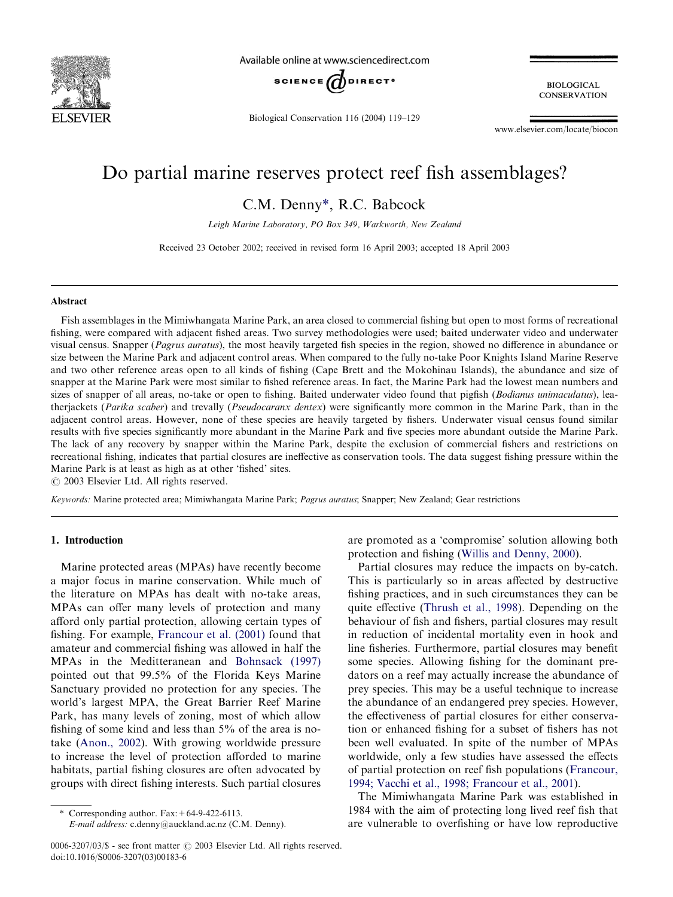

Available online at www.sciencedirect.com



Biological Conservation 116 (2004) 119–129

**BIOLOGICAL CONSERVATION** 

[www.elsevier.com/locate/biocon](http://www.elsevier.com/locate/biocon/a4.3d)

# Do partial marine reserves protect reef fish assemblages?

C.M. Denny\*, R.C. Babcock

Leigh Marine Laboratory, PO Box 349, Warkworth, New Zealand

Received 23 October 2002; received in revised form 16 April 2003; accepted 18 April 2003

#### Abstract

Fish assemblages in the Mimiwhangata Marine Park, an area closed to commercial fishing but open to most forms of recreational fishing, were compared with adjacent fished areas. Two survey methodologies were used; baited underwater video and underwater visual census. Snapper (Pagrus auratus), the most heavily targeted fish species in the region, showed no difference in abundance or size between the Marine Park and adjacent control areas. When compared to the fully no-take Poor Knights Island Marine Reserve and two other reference areas open to all kinds of fishing (Cape Brett and the Mokohinau Islands), the abundance and size of snapper at the Marine Park were most similar to fished reference areas. In fact, the Marine Park had the lowest mean numbers and sizes of snapper of all areas, no-take or open to fishing. Baited underwater video found that pigfish (Bodianus unimaculatus), leatherjackets (Parika scaber) and trevally (Pseudocaranx dentex) were significantly more common in the Marine Park, than in the adjacent control areas. However, none of these species are heavily targeted by fishers. Underwater visual census found similar results with five species significantly more abundant in the Marine Park and five species more abundant outside the Marine Park. The lack of any recovery by snapper within the Marine Park, despite the exclusion of commercial fishers and restrictions on recreational fishing, indicates that partial closures are ineffective as conservation tools. The data suggest fishing pressure within the Marine Park is at least as high as at other 'fished' sites.

 $\odot$  2003 Elsevier Ltd. All rights reserved.

Keywords: Marine protected area; Mimiwhangata Marine Park; Pagrus auratus; Snapper; New Zealand; Gear restrictions

## 1. Introduction

Marine protected areas (MPAs) have recently become a major focus in marine conservation. While much of the literature on MPAs has dealt with no-take areas, MPAs can offer many levels of protection and many afford only partial protection, allowing certain types of fishing. For example, [Francour et al. \(2001\)](#page-10-0) found that amateur and commercial fishing was allowed in half the MPAs in the Meditteranean and [Bohnsack \(1997\)](#page-10-0) pointed out that 99.5% of the Florida Keys Marine Sanctuary provided no protection for any species. The world's largest MPA, the Great Barrier Reef Marine Park, has many levels of zoning, most of which allow fishing of some kind and less than 5% of the area is notake (Anon., 2002). With growing worldwide pressure to increase the level of protection afforded to marine habitats, partial fishing closures are often advocated by groups with direct fishing interests. Such partial closures

are promoted as a 'compromise' solution allowing both protection and fishing [\(Willis and Denny, 2000\)](#page-10-0).

Partial closures may reduce the impacts on by-catch. This is particularly so in areas affected by destructive fishing practices, and in such circumstances they can be quite effective ([Thrush et al., 1998](#page-10-0)). Depending on the behaviour of fish and fishers, partial closures may result in reduction of incidental mortality even in hook and line fisheries. Furthermore, partial closures may benefit some species. Allowing fishing for the dominant predators on a reef may actually increase the abundance of prey species. This may be a useful technique to increase the abundance of an endangered prey species. However, the effectiveness of partial closures for either conservation or enhanced fishing for a subset of fishers has not been well evaluated. In spite of the number of MPAs worldwide, only a few studies have assessed the effects of partial protection on reef fish populations ([Francour,](#page-10-0) [1994; Vacchi et al., 1998; Francour et al., 2001\)](#page-10-0).

The Mimiwhangata Marine Park was established in 1984 with the aim of protecting long lived reef fish that are vulnerable to overfishing or have low reproductive

Corresponding author. Fax:  $+64-9-422-6113$ .

E-mail address: [c.denny@auckland.ac.nz](mailto:c.denny@auckland.ac.nz) (C.M. Denny).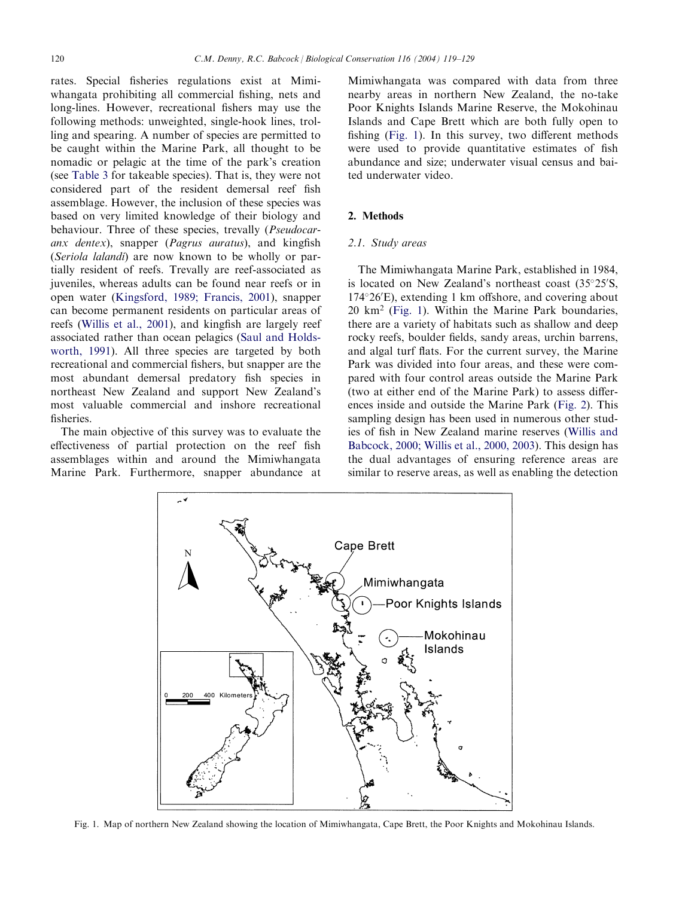<span id="page-1-0"></span>rates. Special fisheries regulations exist at Mimiwhangata prohibiting all commercial fishing, nets and long-lines. However, recreational fishers may use the following methods: unweighted, single-hook lines, trolling and spearing. A number of species are permitted to be caught within the Marine Park, all thought to be nomadic or pelagic at the time of the park's creation (see [Table 3](#page-5-0) for takeable species). That is, they were not considered part of the resident demersal reef fish assemblage. However, the inclusion of these species was based on very limited knowledge of their biology and behaviour. Three of these species, trevally (Pseudocaranx dentex), snapper (Pagrus auratus), and kingfish (Seriola lalandi) are now known to be wholly or partially resident of reefs. Trevally are reef-associated as juveniles, whereas adults can be found near reefs or in open water [\(Kingsford, 1989; Francis, 2001\)](#page-10-0), snapper can become permanent residents on particular areas of reefs [\(Willis et al., 2001\)](#page-10-0), and kingfish are largely reef associated rather than ocean pelagics ([Saul and Holds](#page-10-0)[worth, 1991](#page-10-0)). All three species are targeted by both recreational and commercial fishers, but snapper are the most abundant demersal predatory fish species in northeast New Zealand and support New Zealand's most valuable commercial and inshore recreational fisheries.

The main objective of this survey was to evaluate the effectiveness of partial protection on the reef fish assemblages within and around the Mimiwhangata Marine Park. Furthermore, snapper abundance at

Mimiwhangata was compared with data from three nearby areas in northern New Zealand, the no-take Poor Knights Islands Marine Reserve, the Mokohinau Islands and Cape Brett which are both fully open to fishing (Fig. 1). In this survey, two different methods were used to provide quantitative estimates of fish abundance and size; underwater visual census and baited underwater video.

#### 2. Methods

## 2.1. Study areas

The Mimiwhangata Marine Park, established in 1984, is located on New Zealand's northeast coast  $(35^{\circ}25^{\prime}S,$ 174°26'E), extending 1 km offshore, and covering about 20 km<sup>2</sup> (Fig. 1). Within the Marine Park boundaries, there are a variety of habitats such as shallow and deep rocky reefs, boulder fields, sandy areas, urchin barrens, and algal turf flats. For the current survey, the Marine Park was divided into four areas, and these were compared with four control areas outside the Marine Park (two at either end of the Marine Park) to assess differences inside and outside the Marine Park [\(Fig. 2\)](#page-2-0). This sampling design has been used in numerous other studies of fish in New Zealand marine reserves ([Willis and](#page-10-0) [Babcock, 2000; Willis et al., 2000, 2003](#page-10-0)). This design has the dual advantages of ensuring reference areas are similar to reserve areas, as well as enabling the detection



Fig. 1. Map of northern New Zealand showing the location of Mimiwhangata, Cape Brett, the Poor Knights and Mokohinau Islands.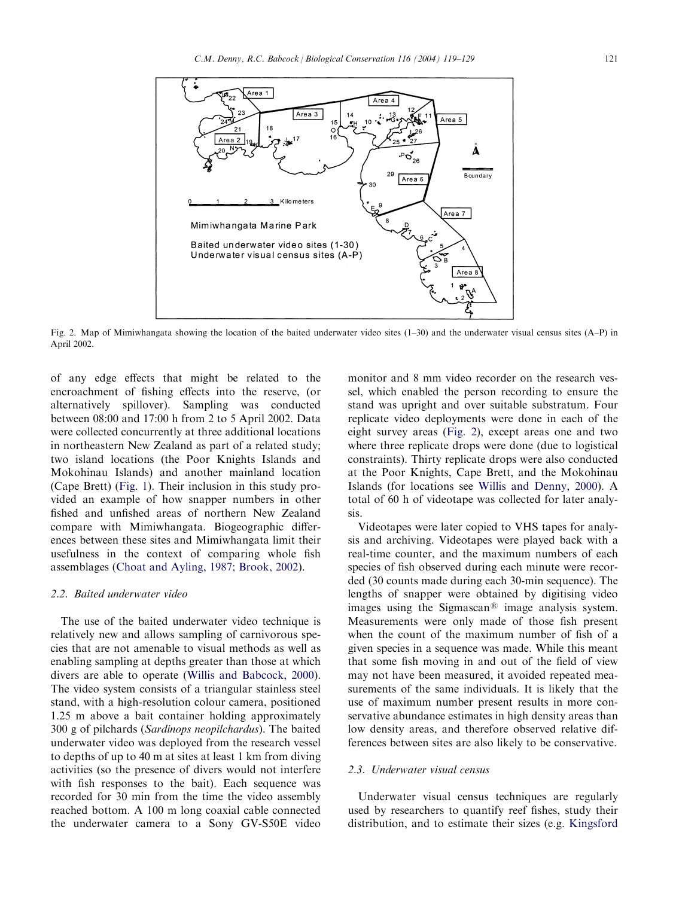<span id="page-2-0"></span>

Fig. 2. Map of Mimiwhangata showing the location of the baited underwater video sites (1–30) and the underwater visual census sites (A–P) in April 2002.

of any edge effects that might be related to the encroachment of fishing effects into the reserve, (or alternatively spillover). Sampling was conducted between 08:00 and 17:00 h from 2 to 5 April 2002. Data were collected concurrently at three additional locations in northeastern New Zealand as part of a related study; two island locations (the Poor Knights Islands and Mokohinau Islands) and another mainland location (Cape Brett) [\(Fig. 1\)](#page-1-0). Their inclusion in this study provided an example of how snapper numbers in other fished and unfished areas of northern New Zealand compare with Mimiwhangata. Biogeographic differences between these sites and Mimiwhangata limit their usefulness in the context of comparing whole fish assemblages ([Choat and Ayling, 1987; Brook, 2002\)](#page-10-0).

### 2.2. Baited underwater video

The use of the baited underwater video technique is relatively new and allows sampling of carnivorous species that are not amenable to visual methods as well as enabling sampling at depths greater than those at which divers are able to operate [\(Willis and Babcock, 2000\)](#page-10-0). The video system consists of a triangular stainless steel stand, with a high-resolution colour camera, positioned 1.25 m above a bait container holding approximately 300 g of pilchards (Sardinops neopilchardus). The baited underwater video was deployed from the research vessel to depths of up to 40 m at sites at least 1 km from diving activities (so the presence of divers would not interfere with fish responses to the bait). Each sequence was recorded for 30 min from the time the video assembly reached bottom. A 100 m long coaxial cable connected the underwater camera to a Sony GV-S50E video monitor and 8 mm video recorder on the research vessel, which enabled the person recording to ensure the stand was upright and over suitable substratum. Four replicate video deployments were done in each of the eight survey areas (Fig. 2), except areas one and two where three replicate drops were done (due to logistical constraints). Thirty replicate drops were also conducted at the Poor Knights, Cape Brett, and the Mokohinau Islands (for locations see [Willis and Denny, 2000\)](#page-10-0). A total of 60 h of videotape was collected for later analysis.

Videotapes were later copied to VHS tapes for analysis and archiving. Videotapes were played back with a real-time counter, and the maximum numbers of each species of fish observed during each minute were recorded (30 counts made during each 30-min sequence). The lengths of snapper were obtained by digitising video images using the Sigmascan<sup>®</sup> image analysis system. Measurements were only made of those fish present when the count of the maximum number of fish of a given species in a sequence was made. While this meant that some fish moving in and out of the field of view may not have been measured, it avoided repeated measurements of the same individuals. It is likely that the use of maximum number present results in more conservative abundance estimates in high density areas than low density areas, and therefore observed relative differences between sites are also likely to be conservative.

# 2.3. Underwater visual census

Underwater visual census techniques are regularly used by researchers to quantify reef fishes, study their distribution, and to estimate their sizes (e.g. [Kingsford](#page-10-0)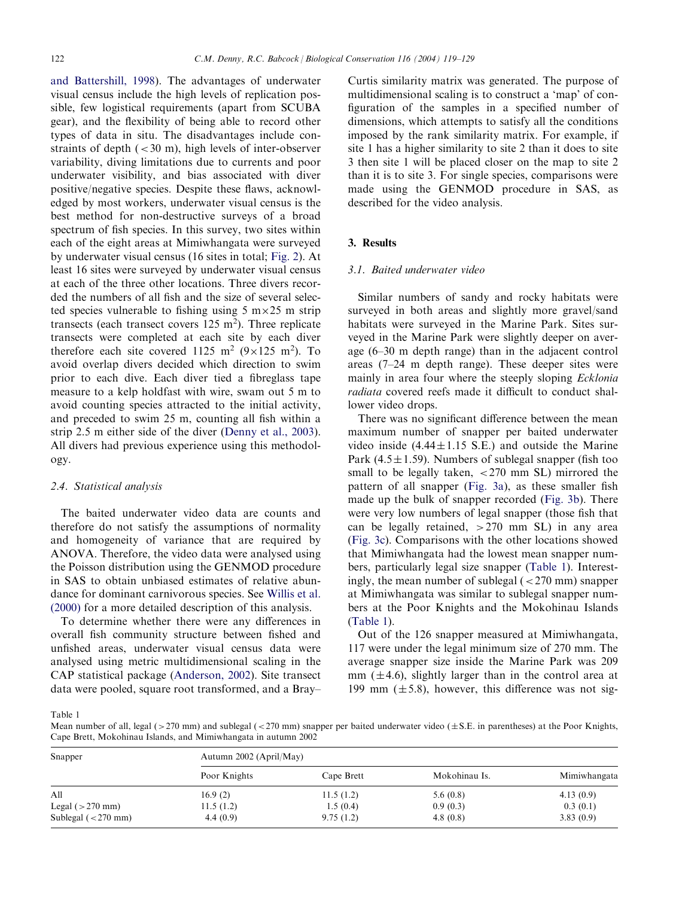[and Battershill, 1998](#page-10-0)). The advantages of underwater visual census include the high levels of replication possible, few logistical requirements (apart from SCUBA gear), and the flexibility of being able to record other types of data in situ. The disadvantages include constraints of depth  $( $30 \text{ m}$ ), high levels of inter-observer$ variability, diving limitations due to currents and poor underwater visibility, and bias associated with diver positive/negative species. Despite these flaws, acknowledged by most workers, underwater visual census is the best method for non-destructive surveys of a broad spectrum of fish species. In this survey, two sites within each of the eight areas at Mimiwhangata were surveyed by underwater visual census (16 sites in total; [Fig. 2](#page-2-0)). At least 16 sites were surveyed by underwater visual census at each of the three other locations. Three divers recorded the numbers of all fish and the size of several selected species vulnerable to fishing using  $5 \text{ m} \times 25 \text{ m}$  strip transects (each transect covers  $125 \text{ m}^2$ ). Three replicate transects were completed at each site by each diver therefore each site covered 1125 m<sup>2</sup> ( $9 \times 125$  m<sup>2</sup>). To avoid overlap divers decided which direction to swim prior to each dive. Each diver tied a fibreglass tape measure to a kelp holdfast with wire, swam out 5 m to avoid counting species attracted to the initial activity, and preceded to swim 25 m, counting all fish within a strip 2.5 m either side of the diver ([Denny et al., 2003\)](#page-10-0). All divers had previous experience using this methodology.

### 2.4. Statistical analysis

The baited underwater video data are counts and therefore do not satisfy the assumptions of normality and homogeneity of variance that are required by ANOVA. Therefore, the video data were analysed using the Poisson distribution using the GENMOD procedure in SAS to obtain unbiased estimates of relative abundance for dominant carnivorous species. See [Willis et al.](#page-10-0) [\(2000\)](#page-10-0) for a more detailed description of this analysis.

To determine whether there were any differences in overall fish community structure between fished and unfished areas, underwater visual census data were analysed using metric multidimensional scaling in the CAP statistical package ([Anderson, 2002\)](#page-9-0). Site transect data were pooled, square root transformed, and a Bray–

Curtis similarity matrix was generated. The purpose of multidimensional scaling is to construct a 'map' of configuration of the samples in a specified number of dimensions, which attempts to satisfy all the conditions imposed by the rank similarity matrix. For example, if site 1 has a higher similarity to site 2 than it does to site 3then site 1 will be placed closer on the map to site 2 than it is to site 3. For single species, comparisons were made using the GENMOD procedure in SAS, as described for the video analysis.

## 3. Results

#### 3.1. Baited underwater video

Similar numbers of sandy and rocky habitats were surveyed in both areas and slightly more gravel/sand habitats were surveyed in the Marine Park. Sites surveyed in the Marine Park were slightly deeper on average (6–30 m depth range) than in the adjacent control areas (7–24 m depth range). These deeper sites were mainly in area four where the steeply sloping Ecklonia radiata covered reefs made it difficult to conduct shallower video drops.

There was no significant difference between the mean maximum number of snapper per baited underwater video inside  $(4.44 \pm 1.15 \text{ S.E.})$  and outside the Marine Park (4.5 $\pm$ 1.59). Numbers of sublegal snapper (fish too small to be legally taken,  $\langle 270 \text{ mm SL} \rangle$  mirrored the pattern of all snapper [\(Fig. 3a\)](#page-4-0), as these smaller fish made up the bulk of snapper recorded ([Fig. 3b\)](#page-4-0). There were very low numbers of legal snapper (those fish that can be legally retained,  $>270$  mm SL) in any area [\(Fig. 3c\)](#page-4-0). Comparisons with the other locations showed that Mimiwhangata had the lowest mean snapper numbers, particularly legal size snapper (Table 1). Interestingly, the mean number of sublegal  $\left( < 270 \text{ mm} \right)$  snapper at Mimiwhangata was similar to sublegal snapper numbers at the Poor Knights and the Mokohinau Islands (Table 1).

Out of the 126 snapper measured at Mimiwhangata, 117 were under the legal minimum size of 270 mm. The average snapper size inside the Marine Park was 209 mm  $(\pm 4.6)$ , slightly larger than in the control area at 199 mm  $(\pm 5.8)$ , however, this difference was not sig-

Table 1

Mean number of all, legal ( $>270$  mm) and sublegal ( $< 270$  mm) snapper per baited underwater video ( $\pm$  S.E. in parentheses) at the Poor Knights, Cape Brett, Mokohinau Islands, and Mimiwhangata in autumn 2002

| Snapper                     | Autumn 2002 (April/May) |            |               |              |  |  |
|-----------------------------|-------------------------|------------|---------------|--------------|--|--|
|                             | Poor Knights            | Cape Brett | Mokohinau Is. | Mimiwhangata |  |  |
| All                         | 16.9(2)                 | 11.5(1.2)  | 5.6(0.8)      | 4.13(0.9)    |  |  |
| Legal $(>270$ mm)           | 11.5(1.2)               | 1.5(0.4)   | 0.9(0.3)      | 0.3(0.1)     |  |  |
| Sublegal $(270 \text{ mm})$ | 4.4(0.9)                | 9.75(1.2)  | 4.8 $(0.8)$   | 3.83(0.9)    |  |  |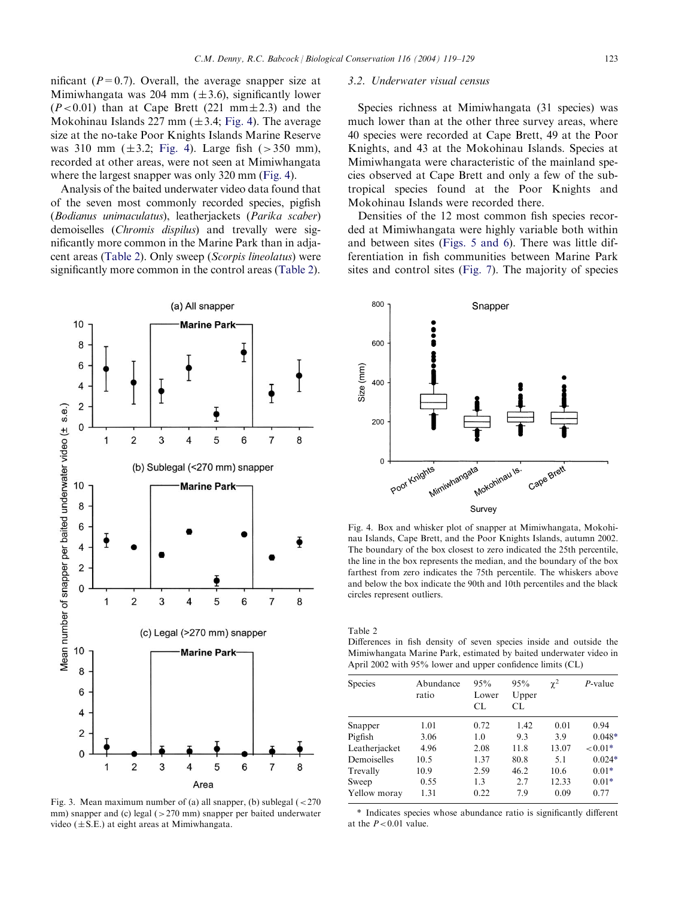<span id="page-4-0"></span>nificant ( $P=0.7$ ). Overall, the average snapper size at Mimiwhangata was 204 mm  $(\pm 3.6)$ , significantly lower  $(P<0.01)$  than at Cape Brett (221 mm $\pm$ 2.3) and the Mokohinau Islands 227 mm  $(\pm 3.4;$  Fig. 4). The average size at the no-take Poor Knights Islands Marine Reserve was 310 mm  $(\pm 3.2;$  Fig. 4). Large fish ( $> 350$  mm), recorded at other areas, were not seen at Mimiwhangata where the largest snapper was only 320 mm (Fig. 4).

Analysis of the baited underwater video data found that of the seven most commonly recorded species, pigfish (Bodianus unimaculatus), leatherjackets (Parika scaber) demoiselles (Chromis dispilus) and trevally were significantly more common in the Marine Park than in adjacent areas (Table 2). Only sweep (Scorpis lineolatus) were significantly more common in the control areas (Table 2).



# 3.2. Underwater visual census

Species richness at Mimiwhangata (31 species) was much lower than at the other three survey areas, where 40 species were recorded at Cape Brett, 49 at the Poor Knights, and 43 at the Mokohinau Islands. Species at Mimiwhangata were characteristic of the mainland species observed at Cape Brett and only a few of the subtropical species found at the Poor Knights and Mokohinau Islands were recorded there.

Densities of the 12 most common fish species recorded at Mimiwhangata were highly variable both within and between sites ([Figs. 5 and 6](#page-6-0)). There was little differentiation in fish communities between Marine Park sites and control sites [\(Fig. 7](#page-8-0)). The majority of species



Fig. 4. Box and whisker plot of snapper at Mimiwhangata, Mokohinau Islands, Cape Brett, and the Poor Knights Islands, autumn 2002. The boundary of the box closest to zero indicated the 25th percentile, the line in the box represents the median, and the boundary of the box farthest from zero indicates the 75th percentile. The whiskers above and below the box indicate the 90th and 10th percentiles and the black circles represent outliers.

Table 2

Differences in fish density of seven species inside and outside the Mimiwhangata Marine Park, estimated by baited underwater video in April 2002 with 95% lower and upper confidence limits (CL)

| Species               | Abundance<br>ratio | 95%<br>Lower<br>CL. | 95%<br>Upper<br>CL. | $\chi^2$      | $P$ -value      |
|-----------------------|--------------------|---------------------|---------------------|---------------|-----------------|
| Snapper               | 1.01               | 0.72                | 1.42                | 0.01          | 0.94            |
| Pigfish               | 3.06               | 1.0                 | 9.3                 | 3.9           | $0.048*$        |
| Leatherjacket         | 4.96               | 2.08                | 11.8                | 13.07         | ${<}0.01*$      |
| Demoiselles           | 10.5               | 1.37                | 80.8                | 5.1           | $0.024*$        |
| Trevally              | 10.9               | 2.59                | 46.2                | 10.6          | $0.01*$         |
| Sweep<br>Yellow moray | 0.55<br>1.31       | 13<br>0.22          | 2.7<br>79           | 12.33<br>0.09 | $0.01*$<br>0.77 |
|                       |                    |                     |                     |               |                 |

Fig. 3. Mean maximum number of (a) all snapper, (b) sublegal  $\left( < 270 \right)$ mm) snapper and (c) legal ( $>270$  mm) snapper per baited underwater video ( $\pm$ S.E.) at eight areas at Mimiwhangata.

\* Indicates species whose abundance ratio is significantly different at the  $P < 0.01$  value.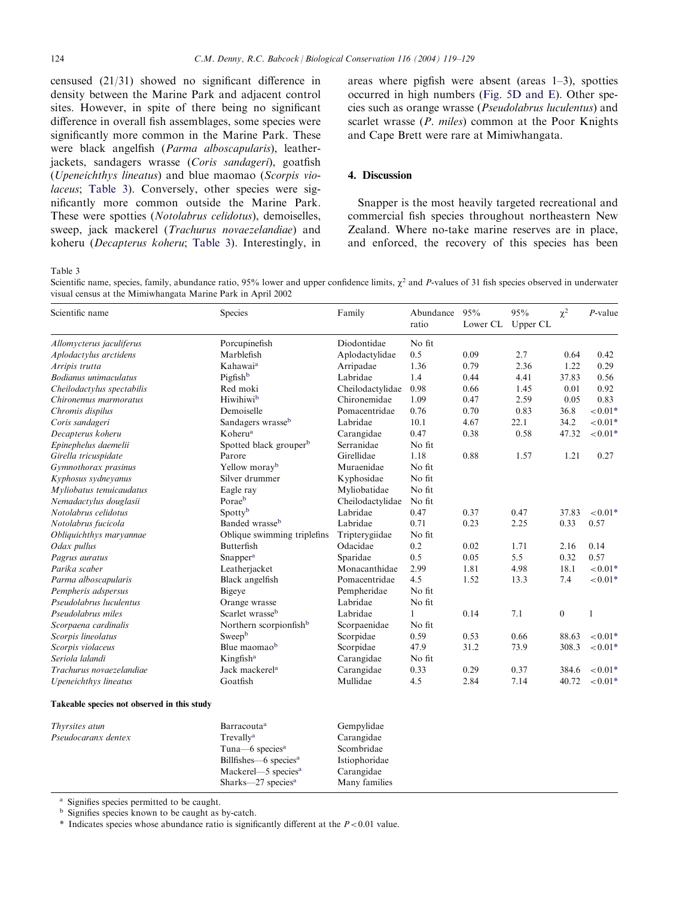<span id="page-5-0"></span>censused (21/31) showed no significant difference in density between the Marine Park and adjacent control sites. However, in spite of there being no significant difference in overall fish assemblages, some species were significantly more common in the Marine Park. These were black angelfish (Parma alboscapularis), leatherjackets, sandagers wrasse (Coris sandageri), goatfish (Upeneichthys lineatus) and blue maomao (Scorpis violaceus; Table 3). Conversely, other species were significantly more common outside the Marine Park. These were spotties (Notolabrus celidotus), demoiselles, sweep, jack mackerel (Trachurus novaezelandiae) and koheru (Decapterus koheru; Table 3). Interestingly, in areas where pigfish were absent (areas 1–3), spotties occurred in high numbers [\(Fig. 5D and E\)](#page-6-0). Other species such as orange wrasse (Pseudolabrus luculentus) and scarlet wrasse (P. miles) common at the Poor Knights and Cape Brett were rare at Mimiwhangata.

# 4. Discussion

Snapper is the most heavily targeted recreational and commercial fish species throughout northeastern New Zealand. Where no-take marine reserves are in place, and enforced, the recovery of this species has been

Table 3

Scientific name, species, family, abundance ratio, 95% lower and upper confidence limits,  $\chi^2$  and P-values of 31 fish species observed in underwater visual census at the Mimiwhangata Marine Park in April 2002

| Scientific name                             | Species                            | Family           | Abundance<br>ratio | 95%<br>Lower CL | 95%<br>Upper CL | $\chi^2$         | $P$ -value |
|---------------------------------------------|------------------------------------|------------------|--------------------|-----------------|-----------------|------------------|------------|
| Allomycterus jaculiferus                    | Porcupinefish                      | Diodontidae      | No fit             |                 |                 |                  |            |
| Aplodactylus arctidens                      | Marblefish                         | Aplodactylidae   | 0.5                | 0.09            | 2.7             | 0.64             | 0.42       |
| Arripis trutta                              | Kahawaia                           | Arripadae        | 1.36               | 0.79            | 2.36            | 1.22             | 0.29       |
| Bodianus unimaculatus                       | Pigfish <sup>b</sup>               | Labridae         | 1.4                | 0.44            | 4.41            | 37.83            | 0.56       |
| Cheilodactylus spectabilis                  | Red moki                           | Cheilodactylidae | 0.98               | 0.66            | 1.45            | 0.01             | 0.92       |
| Chironemus marmoratus                       | Hiwihiwib                          | Chironemidae     | 1.09               | 0.47            | 2.59            | 0.05             | 0.83       |
| Chromis dispilus                            | Demoiselle                         | Pomacentridae    | 0.76               | 0.70            | 0.83            | 36.8             | $< 0.01*$  |
| Coris sandageri                             | Sandagers wrasseb                  | Labridae         | 10.1               | 4.67            | 22.1            | 34.2             | $< 0.01*$  |
| Decapterus koheru                           | Koheru <sup>a</sup>                | Carangidae       | 0.47<br>0.38       |                 | 0.58            | 47.32            | $< 0.01*$  |
| Epinephelus daemelii                        | Spotted black grouper <sup>b</sup> | Serranidae       | No fit             |                 |                 |                  |            |
| Girella tricuspidate                        | Parore                             | Girellidae       | 1.18               | 0.88            | 1.57            | 1.21             | 0.27       |
| Gymnothorax prasinus                        | Yellow moray <sup>b</sup>          | Muraenidae       | No fit             |                 |                 |                  |            |
| Kyphosus sydneyanus                         | Silver drummer                     | Kyphosidae       | No fit             |                 |                 |                  |            |
| Myliobatus tenuicaudatus                    | Eagle ray                          | Myliobatidae     | No fit             |                 |                 |                  |            |
| Nemadactylus douglasii                      | Poraeb                             | Cheilodactylidae | No fit             |                 |                 |                  |            |
| Notolabrus celidotus                        | Spottyb                            | Labridae         | 0.47               | 0.37            | 0.47            | 37.83            | $< 0.01*$  |
| Notolabrus fucicola                         | Banded wrasseb                     | Labridae         | 0.71               | 0.23            | 2.25            | 0.33             | 0.57       |
| Obliquichthys maryannae                     | Oblique swimming triplefins        | Tripterygiidae   | No fit             |                 |                 |                  |            |
| Odax pullus                                 | Butterfish                         | Odacidae         | 0.2                | 0.02            | 1.71            | 2.16             | 0.14       |
| Pagrus auratus                              | Snapper <sup>a</sup>               | Sparidae         | 0.5                | 0.05            | 5.5             | 0.32             | 0.57       |
| Parika scaber                               | Leatherjacket                      | Monacanthidae    | 2.99               | 1.81            | 4.98            | 18.1             | $< 0.01*$  |
| Parma alboscapularis                        | Black angelfish                    | Pomacentridae    | 4.5                | 1.52            | 13.3            | 7.4              | $< 0.01*$  |
| Pempheris adspersus                         | Bigeye                             | Pempheridae      | No fit             |                 |                 |                  |            |
| Pseudolabrus luculentus                     | Orange wrasse                      | Labridae         | No fit             |                 |                 |                  |            |
| Pseudolabrus miles                          | Scarlet wrasseb                    | Labridae         | 1                  | 0.14            | 7.1             | $\boldsymbol{0}$ | 1          |
| Scorpaena cardinalis                        | Northern scorpionfish <sup>b</sup> | Scorpaenidae     | No fit             |                 |                 |                  |            |
| Scorpis lineolatus                          | Sweepb                             | Scorpidae        | 0.59               | 0.53            | 0.66            | 88.63            | $< 0.01*$  |
| Scorpis violaceus                           | Blue maomaob                       | Scorpidae        | 47.9               | 31.2            | 73.9            | 308.3            | $< 0.01*$  |
| Seriola lalandi                             | Kingfish <sup>a</sup>              | Carangidae       | No fit             |                 |                 |                  |            |
| Trachurus novaezelandiae                    | Jack mackerel <sup>a</sup>         | Carangidae       | 0.33               | 0.29            | 0.37            | 384.6            | $< 0.01*$  |
| Upeneichthys lineatus                       | Goatfish                           | Mullidae         | 4.5                | 2.84            | 7.14            | 40.72            | $< 0.01*$  |
| Takeable species not observed in this study |                                    |                  |                    |                 |                 |                  |            |
| Thyrsites atun                              | Barracouta <sup>a</sup>            | Gempylidae       |                    |                 |                 |                  |            |
| Pseudocaranx dentex                         | Trevally <sup>a</sup>              | Carangidae       |                    |                 |                 |                  |            |
|                                             | Tuna-6 species <sup>a</sup>        | Scombridae       |                    |                 |                 |                  |            |
|                                             | Billfishes—6 species <sup>a</sup>  | Istiophoridae    |                    |                 |                 |                  |            |

Mackerel—5 species<sup>a</sup> Carangidae

Sharks—27 species<sup>a</sup> Many families

<sup>a</sup> Signifies species permitted to be caught.

**b** Signifies species known to be caught as by-catch.

\* Indicates species whose abundance ratio is significantly different at the  $P < 0.01$  value.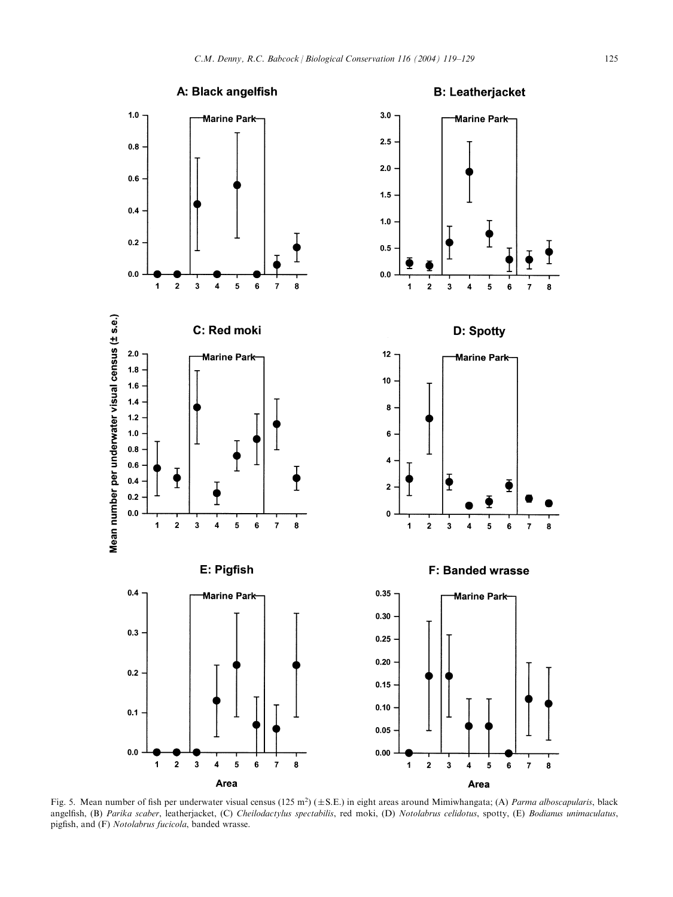<span id="page-6-0"></span>

Fig. 5. Mean number of fish per underwater visual census  $(125 \text{ m}^2)(\pm S.E.)$  in eight areas around Mimiwhangata; (A) Parma alboscapularis, black angelfish, (B) Parika scaber, leatherjacket, (C) Cheilodactylus spectabilis, red moki, (D) Notolabrus celidotus, spotty, (E) Bodianus unimaculatus, pigfish, and (F) Notolabrus fucicola, banded wrasse.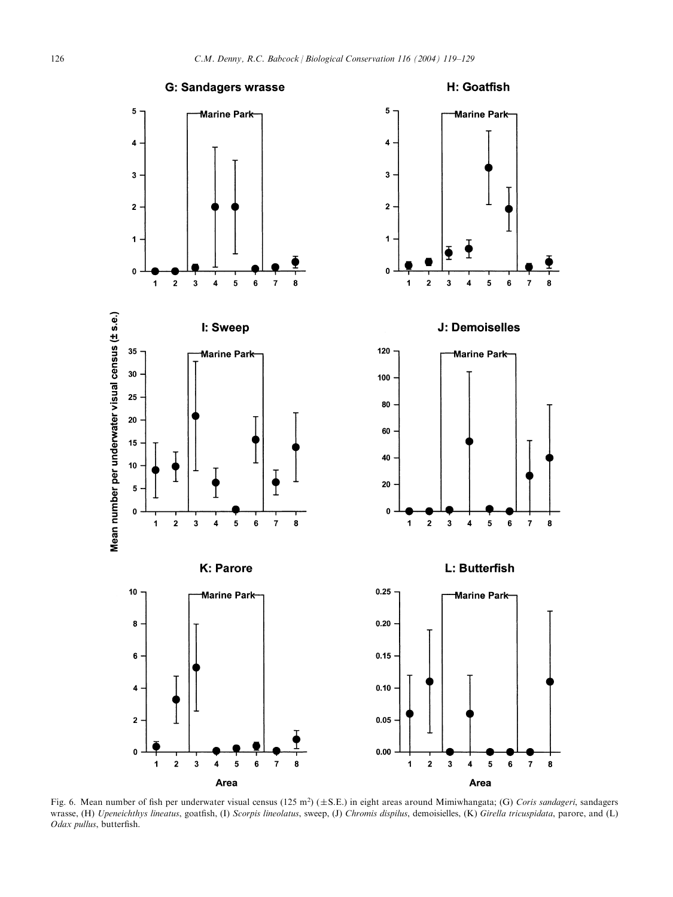

Fig. 6. Mean number of fish per underwater visual census ( $125 \text{ m}^2$ ) ( $\pm$ S.E.) in eight areas around Mimiwhangata; (G) Coris sandageri, sandagers wrasse, (H) Upeneichthys lineatus, goatfish, (I) Scorpis lineolatus, sweep, (J) Chromis dispilus, demoisielles, (K) Girella tricuspidata, parore, and (L) Odax pullus, butterfish.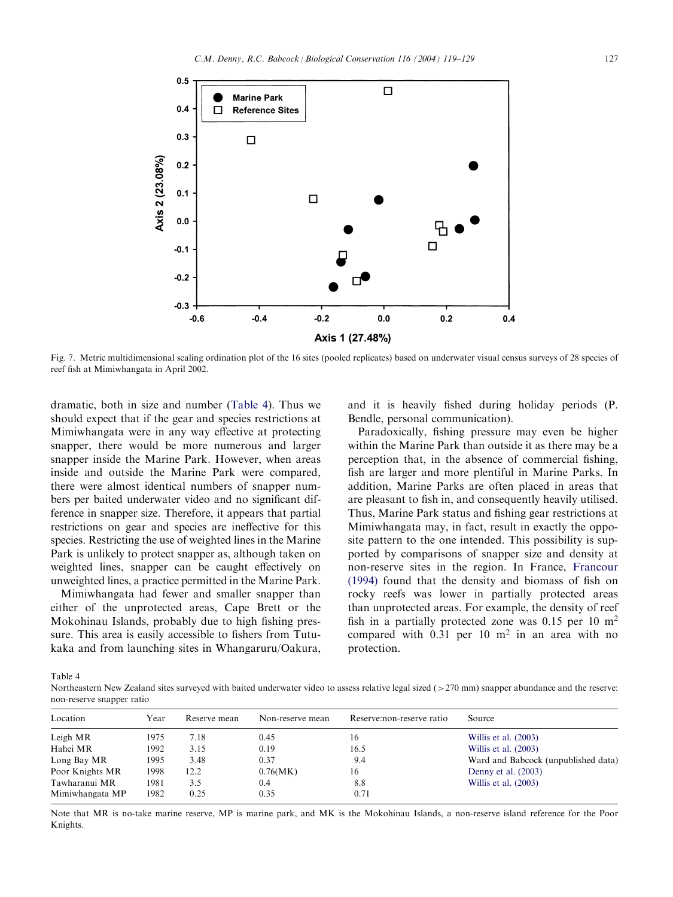<span id="page-8-0"></span>

Fig. 7. Metric multidimensional scaling ordination plot of the 16 sites (pooled replicates) based on underwater visual census surveys of 28 species of reef fish at Mimiwhangata in April 2002.

dramatic, both in size and number (Table 4). Thus we should expect that if the gear and species restrictions at Mimiwhangata were in any way effective at protecting snapper, there would be more numerous and larger snapper inside the Marine Park. However, when areas inside and outside the Marine Park were compared, there were almost identical numbers of snapper numbers per baited underwater video and no significant difference in snapper size. Therefore, it appears that partial restrictions on gear and species are ineffective for this species. Restricting the use of weighted lines in the Marine Park is unlikely to protect snapper as, although taken on weighted lines, snapper can be caught effectively on unweighted lines, a practice permitted in the Marine Park.

Mimiwhangata had fewer and smaller snapper than either of the unprotected areas, Cape Brett or the Mokohinau Islands, probably due to high fishing pressure. This area is easily accessible to fishers from Tutukaka and from launching sites in Whangaruru/Oakura, and it is heavily fished during holiday periods (P. Bendle, personal communication).

Paradoxically, fishing pressure may even be higher within the Marine Park than outside it as there may be a perception that, in the absence of commercial fishing, fish are larger and more plentiful in Marine Parks. In addition, Marine Parks are often placed in areas that are pleasant to fish in, and consequently heavily utilised. Thus, Marine Park status and fishing gear restrictions at Mimiwhangata may, in fact, result in exactly the opposite pattern to the one intended. This possibility is supported by comparisons of snapper size and density at non-reserve sites in the region. In France, [Francour](#page-10-0) [\(1994\)](#page-10-0) found that the density and biomass of fish on rocky reefs was lower in partially protected areas than unprotected areas. For example, the density of reef fish in a partially protected zone was 0.15 per 10  $m<sup>2</sup>$ compared with  $0.31$  per 10 m<sup>2</sup> in an area with no protection.

Table 4

Northeastern New Zealand sites surveyed with baited underwater video to assess relative legal sized (>270 mm) snapper abundance and the reserve: non-reserve snapper ratio

| Location        | Year | Reserve mean | Non-reserve mean | Reserve: non-reserve ratio | Source                              |
|-----------------|------|--------------|------------------|----------------------------|-------------------------------------|
| Leigh MR        | 1975 | 7.18         | 0.45             | 16                         | Willis et al. $(2003)$              |
| Hahei MR        | 1992 | 3.15         | 0.19             | 16.5                       | Willis et al. (2003)                |
| Long Bay MR     | 1995 | 3.48         | 0.37             | 9.4                        | Ward and Babcock (unpublished data) |
| Poor Knights MR | 1998 | 12.2         | 0.76(MK)         | 16                         | Denny et al. $(2003)$               |
| Tawharanui MR   | 1981 | 3.5          | 0.4              | 8.8                        | Willis et al. (2003)                |
| Mimiwhangata MP | 1982 | 0.25         | 0.35             | 0.71                       |                                     |

Note that MR is no-take marine reserve, MP is marine park, and MK is the Mokohinau Islands, a non-reserve island reference for the Poor Knights.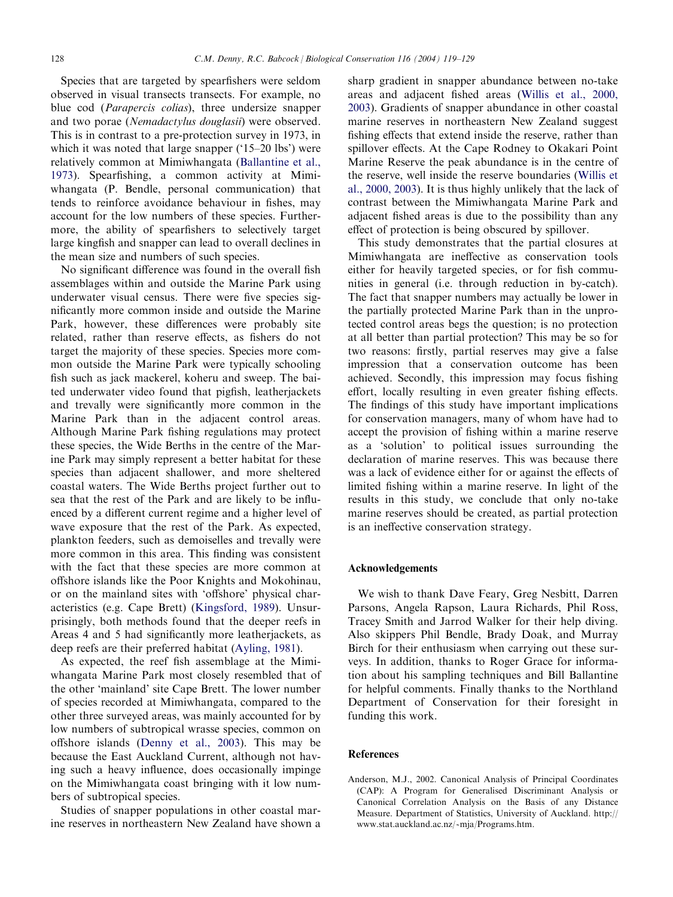<span id="page-9-0"></span>Species that are targeted by spearfishers were seldom observed in visual transects transects. For example, no blue cod (Parapercis colias), three undersize snapper and two porae (Nemadactylus douglasii) were observed. This is in contrast to a pre-protection survey in 1973, in which it was noted that large snapper ('15–20 lbs') were relatively common at Mimiwhangata [\(Ballantine et al.,](#page-10-0) [1973\)](#page-10-0). Spearfishing, a common activity at Mimiwhangata (P. Bendle, personal communication) that tends to reinforce avoidance behaviour in fishes, may account for the low numbers of these species. Furthermore, the ability of spearfishers to selectively target large kingfish and snapper can lead to overall declines in the mean size and numbers of such species.

No significant difference was found in the overall fish assemblages within and outside the Marine Park using underwater visual census. There were five species significantly more common inside and outside the Marine Park, however, these differences were probably site related, rather than reserve effects, as fishers do not target the majority of these species. Species more common outside the Marine Park were typically schooling fish such as jack mackerel, koheru and sweep. The baited underwater video found that pigfish, leatherjackets and trevally were significantly more common in the Marine Park than in the adjacent control areas. Although Marine Park fishing regulations may protect these species, the Wide Berths in the centre of the Marine Park may simply represent a better habitat for these species than adjacent shallower, and more sheltered coastal waters. The Wide Berths project further out to sea that the rest of the Park and are likely to be influenced by a different current regime and a higher level of wave exposure that the rest of the Park. As expected, plankton feeders, such as demoiselles and trevally were more common in this area. This finding was consistent with the fact that these species are more common at offshore islands like the Poor Knights and Mokohinau, or on the mainland sites with 'offshore' physical characteristics (e.g. Cape Brett) ([Kingsford, 1989](#page-10-0)). Unsurprisingly, both methods found that the deeper reefs in Areas 4 and 5 had significantly more leatherjackets, as deep reefs are their preferred habitat ([Ayling, 1981](#page-10-0)).

As expected, the reef fish assemblage at the Mimiwhangata Marine Park most closely resembled that of the other 'mainland' site Cape Brett. The lower number of species recorded at Mimiwhangata, compared to the other three surveyed areas, was mainly accounted for by low numbers of subtropical wrasse species, common on offshore islands [\(Denny et al., 2003](#page-10-0)). This may be because the East Auckland Current, although not having such a heavy influence, does occasionally impinge on the Mimiwhangata coast bringing with it low numbers of subtropical species.

Studies of snapper populations in other coastal marine reserves in northeastern New Zealand have shown a sharp gradient in snapper abundance between no-take areas and adjacent fished areas [\(Willis et al., 2000,](#page-10-0) [2003\)](#page-10-0). Gradients of snapper abundance in other coastal marine reserves in northeastern New Zealand suggest fishing effects that extend inside the reserve, rather than spillover effects. At the Cape Rodney to Okakari Point Marine Reserve the peak abundance is in the centre of the reserve, well inside the reserve boundaries [\(Willis et](#page-10-0) [al., 2000, 2003\)](#page-10-0). It is thus highly unlikely that the lack of contrast between the Mimiwhangata Marine Park and adjacent fished areas is due to the possibility than any effect of protection is being obscured by spillover.

This study demonstrates that the partial closures at Mimiwhangata are ineffective as conservation tools either for heavily targeted species, or for fish communities in general (i.e. through reduction in by-catch). The fact that snapper numbers may actually be lower in the partially protected Marine Park than in the unprotected control areas begs the question; is no protection at all better than partial protection? This may be so for two reasons: firstly, partial reserves may give a false impression that a conservation outcome has been achieved. Secondly, this impression may focus fishing effort, locally resulting in even greater fishing effects. The findings of this study have important implications for conservation managers, many of whom have had to accept the provision of fishing within a marine reserve as a 'solution' to political issues surrounding the declaration of marine reserves. This was because there was a lack of evidence either for or against the effects of limited fishing within a marine reserve. In light of the results in this study, we conclude that only no-take marine reserves should be created, as partial protection is an ineffective conservation strategy.

#### Acknowledgements

We wish to thank Dave Feary, Greg Nesbitt, Darren Parsons, Angela Rapson, Laura Richards, Phil Ross, Tracey Smith and Jarrod Walker for their help diving. Also skippers Phil Bendle, Brady Doak, and Murray Birch for their enthusiasm when carrying out these surveys. In addition, thanks to Roger Grace for information about his sampling techniques and Bill Ballantine for helpful comments. Finally thanks to the Northland Department of Conservation for their foresight in funding this work.

#### References

Anderson, M.J., 2002. Canonical Analysis of Principal Coordinates (CAP): A Program for Generalised Discriminant Analysis or Canonical Correlation Analysis on the Basis of any Distance Measure. Department of Statistics, University of Auckland. http:// www.stat.auckland.ac.nz/~mja/Programs.htm.